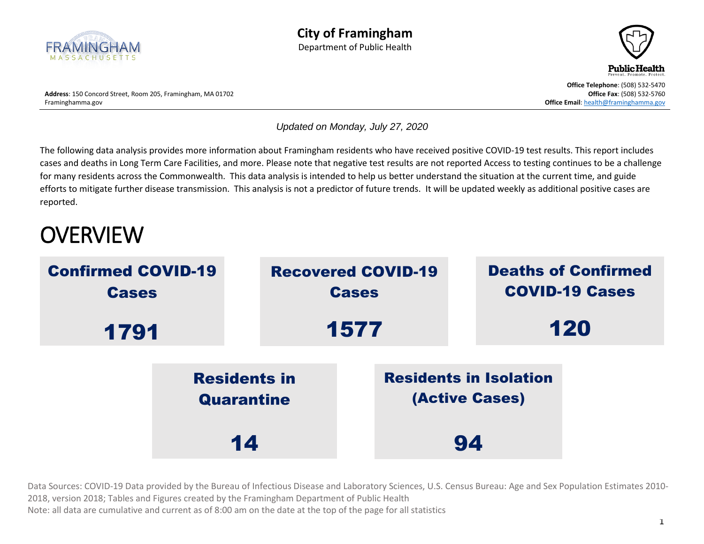



*Updated on Monday, July 27, 2020*

The following data analysis provides more information about Framingham residents who have received positive COVID-19 test results. This report includes cases and deaths in Long Term Care Facilities, and more. Please note that negative test results are not reported Access to testing continues to be a challenge for many residents across the Commonwealth. This data analysis is intended to help us better understand the situation at the current time, and guide efforts to mitigate further disease transmission. This analysis is not a predictor of future trends. It will be updated weekly as additional positive cases are reported.

# **OVERVIEW**

| <b>Confirmed COVID-19</b><br><b>Cases</b> |                                   |  | <b>Recovered COVID-19</b><br><b>Cases</b>              |  | <b>Deaths of Confirmed</b><br><b>COVID-19 Cases</b> |  |
|-------------------------------------------|-----------------------------------|--|--------------------------------------------------------|--|-----------------------------------------------------|--|
| 1791                                      |                                   |  | 1577                                                   |  | 120                                                 |  |
|                                           | <b>Residents in</b><br>Quarantine |  | <b>Residents in Isolation</b><br><b>(Active Cases)</b> |  |                                                     |  |
|                                           | 14                                |  | 94                                                     |  |                                                     |  |

Data Sources: COVID-19 Data provided by the Bureau of Infectious Disease and Laboratory Sciences, U.S. Census Bureau: Age and Sex Population Estimates 2010- 2018, version 2018; Tables and Figures created by the Framingham Department of Public Health Note: all data are cumulative and current as of 8:00 am on the date at the top of the page for all statistics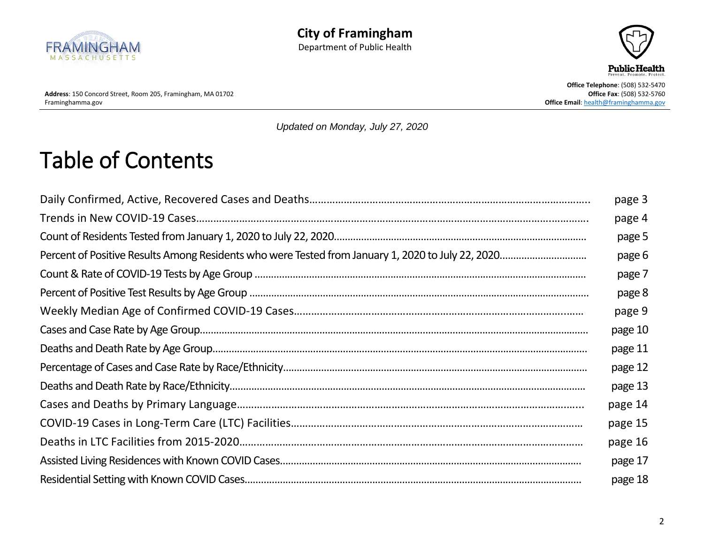



Address: 150 Concord Street, Room 205, Framingham, MA 01702<br>Framinghamma.gov

**Office Telephone: (508) 532-5470<br><b>Office Fax: (508) 532-5760 Office Email[: health@framinghamma.gov](mailto:health@framinghamma.gov)** 

*Updated on Monday, July 27, 2020*

## <span id="page-1-0"></span>Table of Contents

| page 3  |
|---------|
| page 4  |
| page 5  |
| page 6  |
| page 7  |
| page 8  |
| page 9  |
| page 10 |
| page 11 |
| page 12 |
| page 13 |
| page 14 |
| page 15 |
| page 16 |
| page 17 |
| page 18 |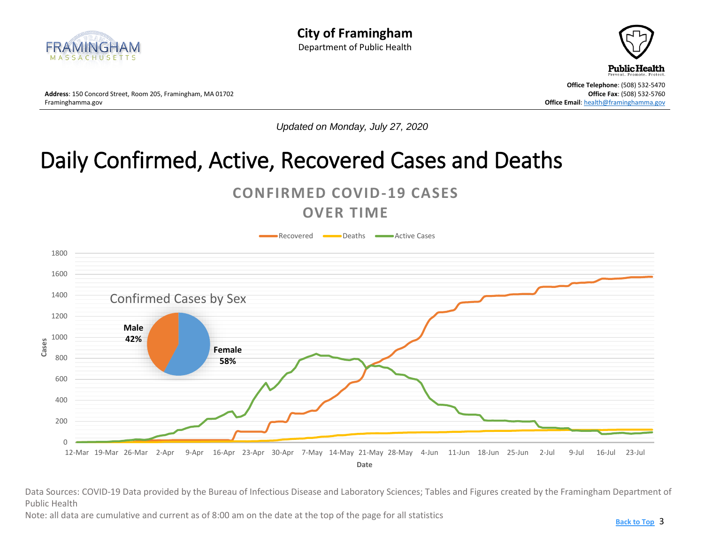<span id="page-2-0"></span>



**Office Telephone**: (508) 532-5470

*Updated on Monday, July 27, 2020*

## Daily Confirmed, Active, Recovered Cases and Deaths



#### **OVER TIME**



Data Sources: COVID-19 Data provided by the Bureau of Infectious Disease and Laboratory Sciences; Tables and Figures created by the Framingham Department of Public Health

Note: all data are cumulative and current as of 8:00 am on the date at the top of the page for all statistics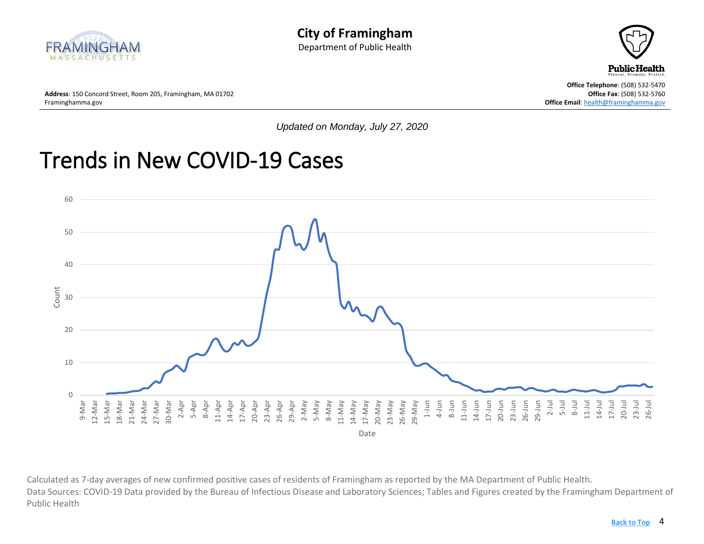<span id="page-3-0"></span>



**Office Telephone**: (508) 532-5470 **Office Email[: health@framinghamma.gov](mailto:health@framinghamma.gov)** 

**Address**: 150 Concord Street, Room 205, Framingham, MA 01702 **Concord Street, Room 205, Framingham, MA 01702 Office Fax: (508) 532-5760 Office Fax: (508) 532-5760 Office Fax: (508) 532-5760** 

*Updated on Monday, July 27, 2020*

#### Trends in New COVID-19 Cases



Calculated as 7-day averages of new confirmed positive cases of residents of Framingham as reported by the MA Department of Public Health. Data Sources: COVID-19 Data provided by the Bureau of Infectious Disease and Laboratory Sciences; Tables and Figures created by the Framingham Department of Public Health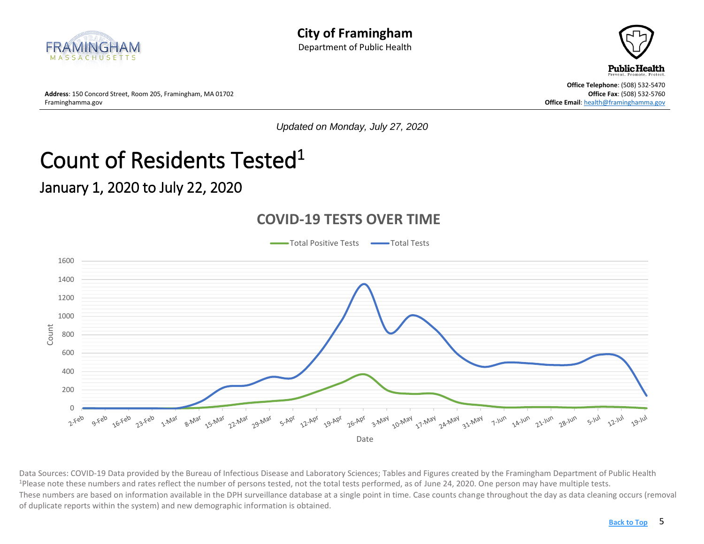<span id="page-4-0"></span>



**Address**: 150 Concord Street, Room 205, Framingham, MA 01702 **Office Fax**: (508) 532-5760 Framinghamma.gov **Office Email**[: health@framinghamma.gov](mailto:health@framinghamma.gov)

*Updated on Monday, July 27, 2020*

# Count of Residents Tested<sup>1</sup>

#### January 1, 2020 to July 22, 2020



#### **COVID-19 TESTS OVER TIME**

Data Sources: COVID-19 Data provided by the Bureau of Infectious Disease and Laboratory Sciences; Tables and Figures created by the Framingham Department of Public Health <sup>1</sup>Please note these numbers and rates reflect the number of persons tested, not the total tests performed, as of June 24, 2020. One person may have multiple tests. These numbers are based on information available in the DPH surveillance database at a single point in time. Case counts change throughout the day as data cleaning occurs (removal of duplicate reports within the system) and new demographic information is obtained.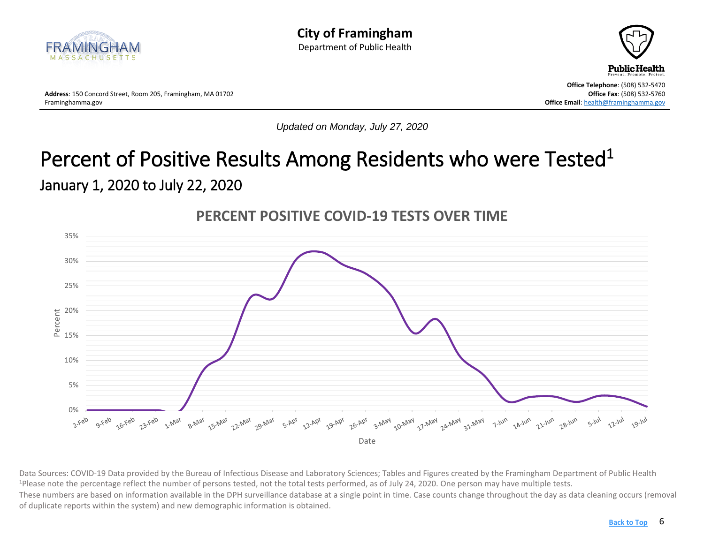<span id="page-5-0"></span>



**Office Telephone**: (508) 532-5470

*Updated on Monday, July 27, 2020*

#### Percent of Positive Results Among Residents who were Tested<sup>1</sup> January 1, 2020 to July 22, 2020



**PERCENT POSITIVE COVID-19 TESTS OVER TIME**

Data Sources: COVID-19 Data provided by the Bureau of Infectious Disease and Laboratory Sciences; Tables and Figures created by the Framingham Department of Public Health <sup>1</sup>Please note the percentage reflect the number of persons tested, not the total tests performed, as of July 24, 2020. One person may have multiple tests. These numbers are based on information available in the DPH surveillance database at a single point in time. Case counts change throughout the day as data cleaning occurs (removal of duplicate reports within the system) and new demographic information is obtained.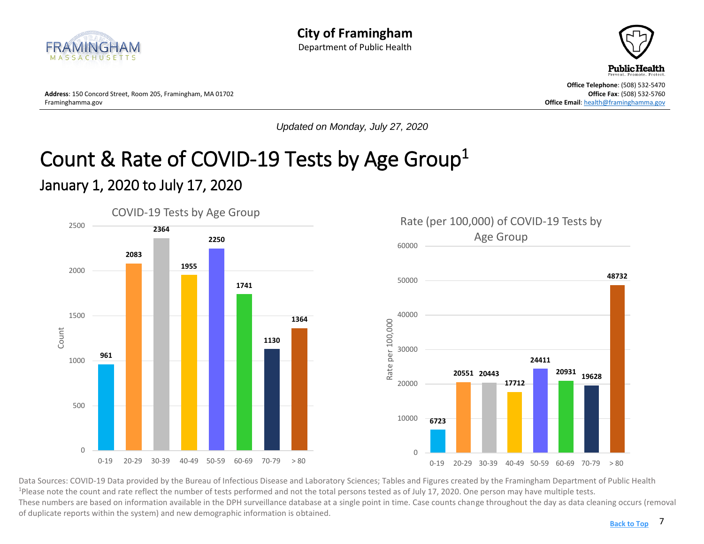<span id="page-6-0"></span>



**Office Telephone**: (508) 532-5470

*Updated on Monday, July 27, 2020*

#### Count & Rate of COVID-19 Tests by Age Group<sup>1</sup> January 1, 2020 to July 17, 2020





Data Sources: COVID-19 Data provided by the Bureau of Infectious Disease and Laboratory Sciences; Tables and Figures created by the Framingham Department of Public Health <sup>1</sup>Please note the count and rate reflect the number of tests performed and not the total persons tested as of July 17, 2020. One person may have multiple tests. These numbers are based on information available in the DPH surveillance database at a single point in time. Case counts change throughout the day as data cleaning occurs (removal of duplicate reports within the system) and new demographic information is obtained.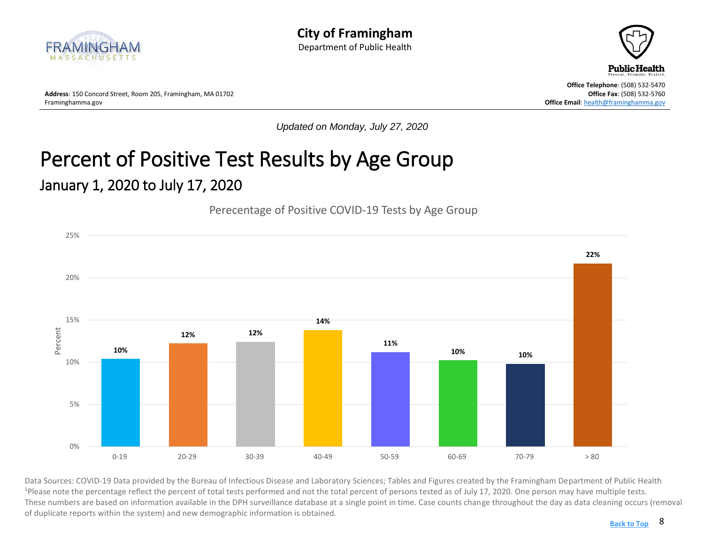



**Office Telephone**: (508) 532-5470

*Updated on Monday, July 27, 2020*

#### <span id="page-7-0"></span>Percent of Positive Test Results by Age Group January 1, 2020 to July 17, 2020

#### Perecentage of Positive COVID-19 Tests by Age Group



Data Sources: COVID-19 Data provided by the Bureau of Infectious Disease and Laboratory Sciences; Tables and Figures created by the Framingham Department of Public Health <sup>1</sup>Please note the percentage reflect the percent of total tests performed and not the total percent of persons tested as of July 17, 2020. One person may have multiple tests. These numbers are based on information available in the DPH surveillance database at a single point in time. Case counts change throughout the day as data cleaning occurs (removal of duplicate reports within the system) and new demographic information is obtained.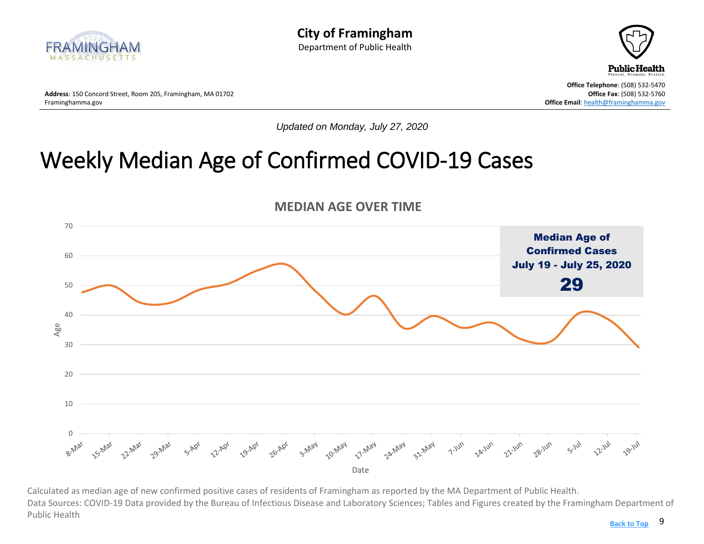



**Address**: 150 Concord Street, Room 205, Framingham, MA 01702 **Office Fax**: (508) 532-5760

**Office Telephone**: (508) 532-5470 **Office Email[: health@framinghamma.gov](mailto:health@framinghamma.gov)** 

*Updated on Monday, July 27, 2020*

## <span id="page-8-0"></span>Weekly Median Age of Confirmed COVID-19 Cases



Calculated as median age of new confirmed positive cases of residents of Framingham as reported by the MA Department of Public Health. Data Sources: COVID-19 Data provided by the Bureau of Infectious Disease and Laboratory Sciences; Tables and Figures created by the Framingham Department of Public Health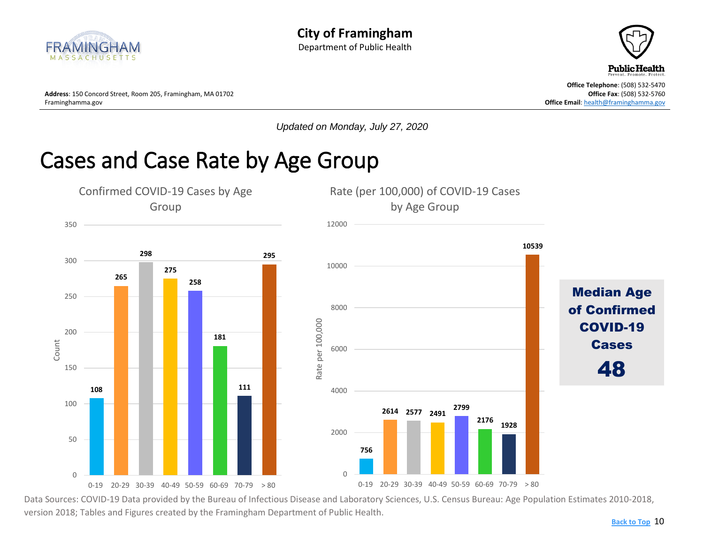



**Office Telephone**: (508) 532-5470

*Updated on Monday, July 27, 2020*

#### <span id="page-9-0"></span>Cases and Case Rate by Age Group



Data Sources: COVID-19 Data provided by the Bureau of Infectious Disease and Laboratory Sciences, U.S. Census Bureau: Age Population Estimates 2010-2018, version 2018; Tables and Figures created by the Framingham Department of Public Health.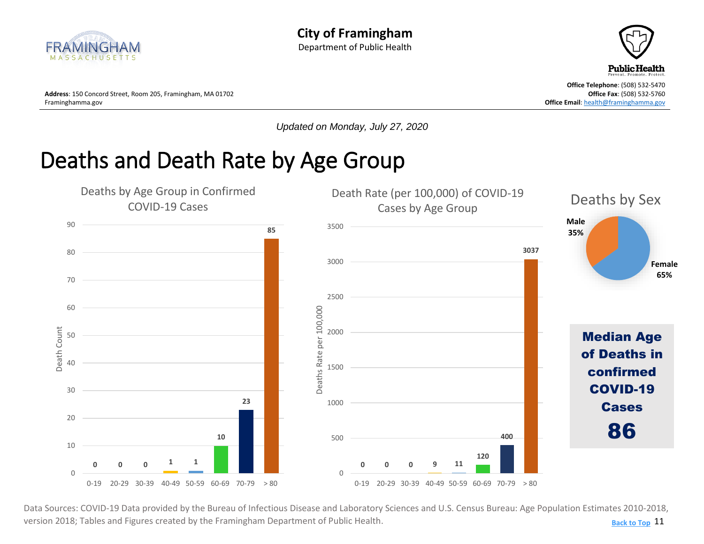<span id="page-10-0"></span>



**Address**: 150 Concord Street, Room 205, Framingham, MA 01702 **Office Fax**: (508) 532-5760 Framinghamma.gov **Office Email**[: health@framinghamma.gov](mailto:health@framinghamma.gov)

*Updated on Monday, July 27, 2020*

## Deaths and Death Rate by Age Group



11 **[Back to Top](#page-1-0)** Data Sources: COVID-19 Data provided by the Bureau of Infectious Disease and Laboratory Sciences and U.S. Census Bureau: Age Population Estimates 2010-2018, version 2018; Tables and Figures created by the Framingham Department of Public Health.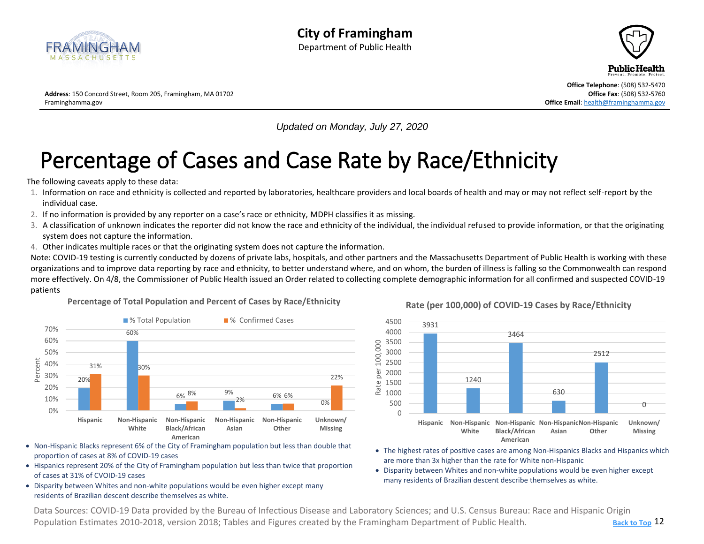<span id="page-11-0"></span>



**Office Telephone**: (508) 532-5470

*Updated on Monday, July 27, 2020*

# Percentage of Cases and Case Rate by Race/Ethnicity

The following caveats apply to these data:

- 1. Information on race and ethnicity is collected and reported by laboratories, healthcare providers and local boards of health and may or may not reflect self-report by the individual case.
- 2. If no information is provided by any reporter on a case's race or ethnicity, MDPH classifies it as missing.
- 3. A classification of unknown indicates the reporter did not know the race and ethnicity of the individual, the individual refused to provide information, or that the originating system does not capture the information.
- 4. Other indicates multiple races or that the originating system does not capture the information.

Note: COVID-19 testing is currently conducted by dozens of private labs, hospitals, and other partners and the Massachusetts Department of Public Health is working with these organizations and to improve data reporting by race and ethnicity, to better understand where, and on whom, the burden of illness is falling so the Commonwealth can respond more effectively. On 4/8, the Commissioner of Public Health issued an Order related to collecting complete demographic information for all confirmed and suspected COVID-19 patients

#### **Percentage of Total Population and Percent of Cases by Race/Ethnicity**



- Non-Hispanic Blacks represent 6% of the City of Framingham population but less than double that proportion of cases at 8% of COVID-19 cases
- Hispanics represent 20% of the City of Framingham population but less than twice that proportion of cases at 31% of CVOID-19 cases
- Disparity between Whites and non-white populations would be even higher except many residents of Brazilian descent describe themselves as white.



**Rate (per 100,000) of COVID-19 Cases by Race/Ethnicity**

- The highest rates of positive cases are among Non-Hispanics Blacks and Hispanics which are more than 3x higher than the rate for White non-Hispanic
- Disparity between Whites and non-white populations would be even higher except many residents of Brazilian descent describe themselves as white.

12 **[Back to Top](#page-1-0)** Data Sources: COVID-19 Data provided by the Bureau of Infectious Disease and Laboratory Sciences; and U.S. Census Bureau: Race and Hispanic Origin • Population Estimates 2010-2018, version 2018; Tables and Figures created by the Framingham Department of Public Health.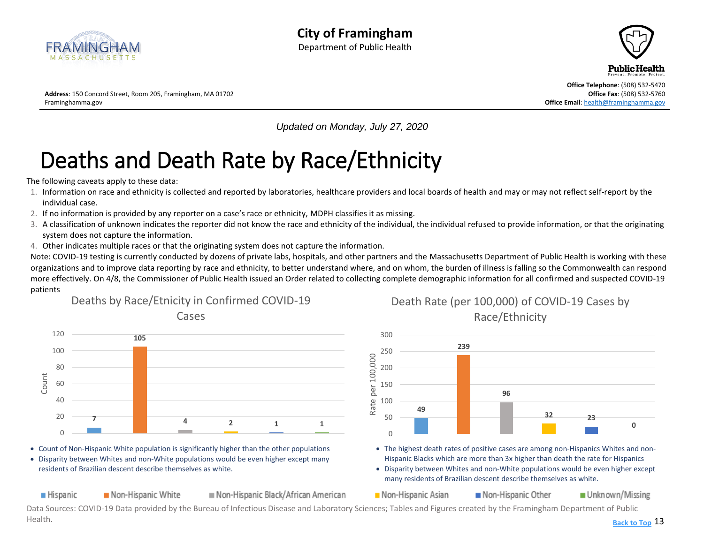<span id="page-12-0"></span>



**Address**: 150 Concord Street, Room 205, Framingham, MA 01702 **Office Fax**: (508) 532-5760 Framinghamma.gov **Office Email**[: health@framinghamma.gov](mailto:health@framinghamma.gov)

*Updated on Monday, July 27, 2020*

# Deaths and Death Rate by Race/Ethnicity

The following caveats apply to these data:

- 1. Information on race and ethnicity is collected and reported by laboratories, healthcare providers and local boards of health and may or may not reflect self-report by the individual case.
- 2. If no information is provided by any reporter on a case's race or ethnicity, MDPH classifies it as missing.
- 3. A classification of unknown indicates the reporter did not know the race and ethnicity of the individual, the individual refused to provide information, or that the originating system does not capture the information.
- 4. Other indicates multiple races or that the originating system does not capture the information.

Note: COVID-19 testing is currently conducted by dozens of private labs, hospitals, and other partners and the Massachusetts Department of Public Health is working with these organizations and to improve data reporting by race and ethnicity, to better understand where, and on whom, the burden of illness is falling so the Commonwealth can respond more effectively. On 4/8, the Commissioner of Public Health issued an Order related to collecting complete demographic information for all confirmed and suspected COVID-19 patients



• Count of Non-Hispanic White population is significantly higher than the other populations

• Disparity between Whites and non-White populations would be even higher except many residents of Brazilian descent describe themselves as white.

**Hispanic** Non-Hispanic White Non-Hispanic Black/African American Death Rate (per 100,000) of COVID-19 Cases by Race/Ethnicity



- The highest death rates of positive cases are among non-Hispanics Whites and non-Hispanic Blacks which are more than 3x higher than death the rate for Hispanics
- Disparity between Whites and non-White populations would be even higher except many residents of Brazilian descent describe themselves as white.

Non-Hispanic Asian Non-Hispanic Other Unknown/Missing

Data Sources: COVID-19 Data provided by the Bureau of Infectious Disease and Laboratory Sciences; Tables and Figures created by the Framingham Department of Public Health. **[Back to Top](#page-1-0)**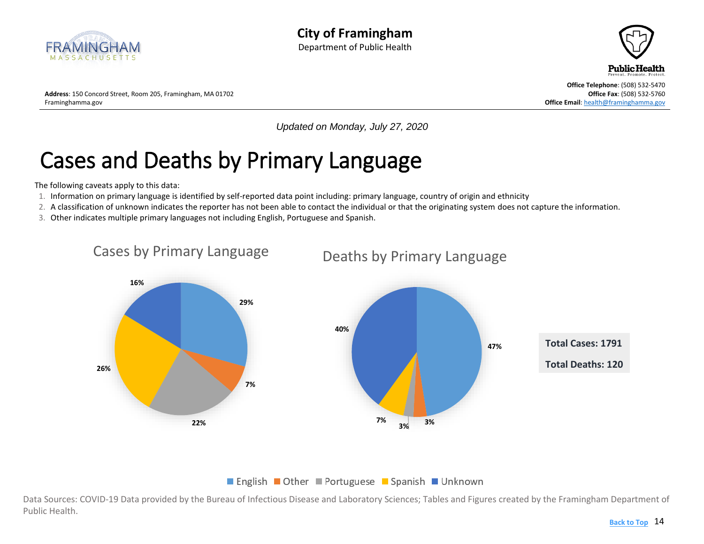<span id="page-13-0"></span>



**Address**: 150 Concord Street, Room 205, Framingham, MA 01702 **Office Fax**: (508) 532-5760 Framinghamma.gov **Office Email**[: health@framinghamma.gov](mailto:health@framinghamma.gov)

*Updated on Monday, July 27, 2020*

# Cases and Deaths by Primary Language

The following caveats apply to this data:

- 1. Information on primary language is identified by self-reported data point including: primary language, country of origin and ethnicity
- 2. A classification of unknown indicates the reporter has not been able to contact the individual or that the originating system does not capture the information.
- 3. Other indicates multiple primary languages not including English, Portuguese and Spanish.



■ English ■ Other ■ Portuguese ■ Spanish ■ Unknown

Data Sources: COVID-19 Data provided by the Bureau of Infectious Disease and Laboratory Sciences; Tables and Figures created by the Framingham Department of Public Health.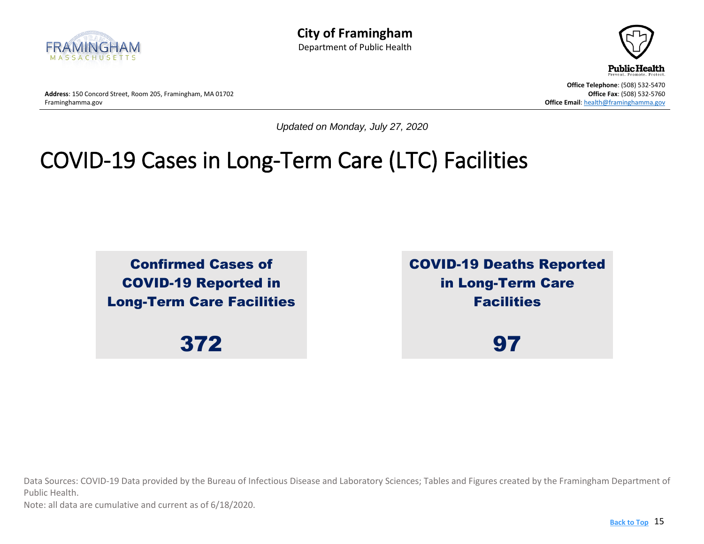



*Updated on Monday, July 27, 2020*

## <span id="page-14-0"></span>COVID-19 Cases in Long-Term Care (LTC) Facilities

Confirmed Cases of COVID-19 Reported in Long-Term Care Facilities

372

COVID-19 Deaths Reported in Long-Term Care **Facilities** 

97

Data Sources: COVID-19 Data provided by the Bureau of Infectious Disease and Laboratory Sciences; Tables and Figures created by the Framingham Department of Public Health.

Note: all data are cumulative and current as of 6/18/2020.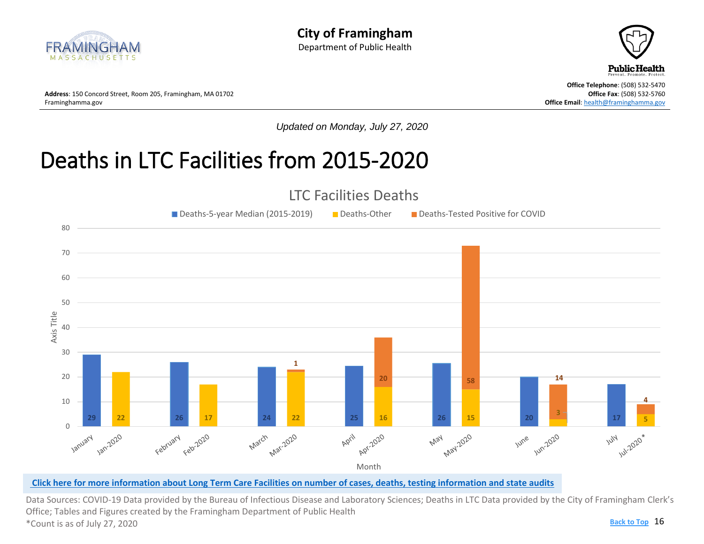<span id="page-15-0"></span>



**Address**: 150 Concord Street, Room 205, Framingham, MA 01702 **Concord Street, Room 205, Framingham, MA 01702 Office Fax: (508) 532-5760 Office Fax: (508) 532-5760 Office Fax: (508) 532-5760** 

**Office Telephone**: (508) 532-5470 **Office Email[: health@framinghamma.gov](mailto:health@framinghamma.gov)** 

*Updated on Monday, July 27, 2020*

#### Deaths in LTC Facilities from 2015-2020



#### **[Click here for more information about Long Term Care Facilities](https://www.mass.gov/doc/weekly-covid-19-public-health-report-july-22-2020/download) on number of cases, deaths, testing information and state audits**

**Back to Top** 16 Data Sources: COVID-19 Data provided by the Bureau of Infectious Disease and Laboratory Sciences; Deaths in LTC Data provided by the City of Framingham Clerk's **[results](https://www.mass.gov/doc/weekly-covid-19-public-health-report-july-22-2020/download)** Office; Tables and Figures created by the Framingham Department of Public Health \*Count is as of July 27, 2020 **[Back to Top](#page-1-0)**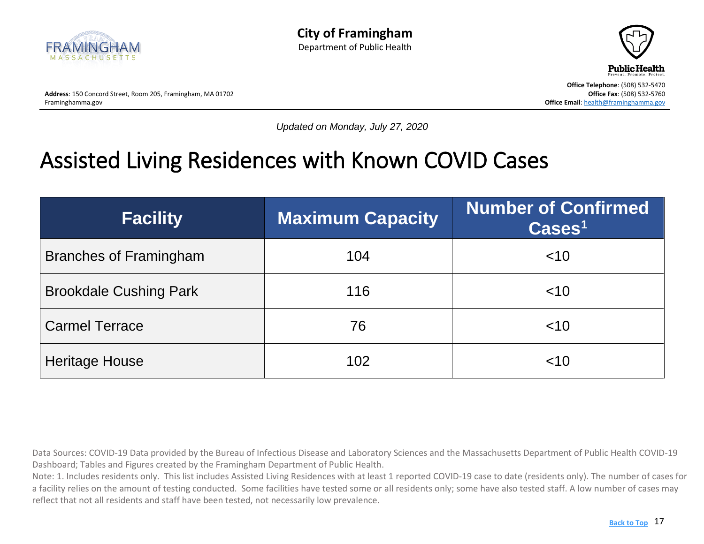



**Office Telephone**: (508) 532-5470

*Updated on Monday, July 27, 2020*

#### <span id="page-16-0"></span>Assisted Living Residences with Known COVID Cases

| <b>Facility</b>               | <b>Maximum Capacity</b> | <b>Number of Confirmed</b><br>$\text{Case} \text{s}^1$ |
|-------------------------------|-------------------------|--------------------------------------------------------|
| <b>Branches of Framingham</b> | 104                     | ~10                                                    |
| <b>Brookdale Cushing Park</b> | 116                     | ~10                                                    |
| <b>Carmel Terrace</b>         | 76                      | ~10                                                    |
| <b>Heritage House</b>         | 102                     | ~10                                                    |

Data Sources: COVID-19 Data provided by the Bureau of Infectious Disease and Laboratory Sciences and the Massachusetts Department of Public Health COVID-19 Dashboard; Tables and Figures created by the Framingham Department of Public Health.

Note: 1. Includes residents only. This list includes Assisted Living Residences with at least 1 reported COVID-19 case to date (residents only). The number of cases for a facility relies on the amount of testing conducted. Some facilities have tested some or all residents only; some have also tested staff. A low number of cases may reflect that not all residents and staff have been tested, not necessarily low prevalence.